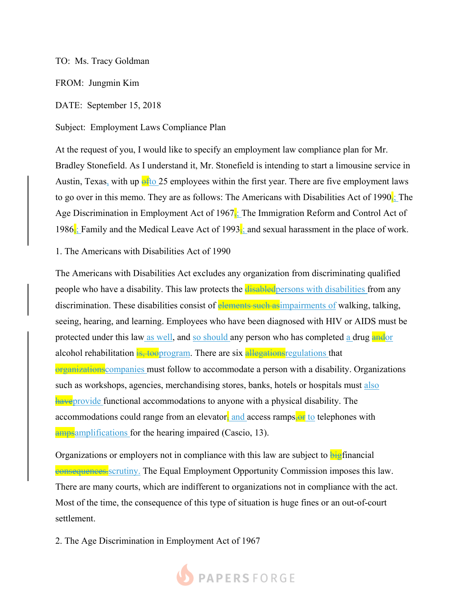## TO: Ms. Tracy Goldman

FROM: Jungmin Kim

DATE: September 15, 2018

Subject: Employment Laws Compliance Plan

At the request of you, I would like to specify an employment law compliance plan for Mr. Bradley Stonefield. As I understand it, Mr. Stonefield is intending to start a limousine service in Austin, Texas, with up  $\frac{1}{2}$  employees within the first year. There are five employment laws to go over in this memo. They are as follows: The Americans with Disabilities Act of 1990 $\frac{1}{3}$ . The Age Discrimination in Employment Act of 1967 $\frac{1}{2}$ ; The Immigration Reform and Control Act of 1986; Family and the Medical Leave Act of 1993; and sexual harassment in the place of work.

1. The Americans with Disabilities Act of 1990

The Americans with Disabilities Act excludes any organization from discriminating qualified people who have a disability. This law protects the disabled persons with disabilities from any discrimination. These disabilities consist of elements such as impairments of walking, talking, seeing, hearing, and learning. Employees who have been diagnosed with HIV or AIDS must be protected under this law as well, and so should any person who has completed a drug and or alcohol rehabilitation is, tooprogram. There are six allegations regulations that organizations companies must follow to accommodate a person with a disability. Organizations such as workshops, agencies, merchandising stores, banks, hotels or hospitals must also **have** provide functional accommodations to anyone with a physical disability. The accommodations could range from an elevator, and access ramps,  $\Theta$  to telephones with **amps** amplifications for the hearing impaired (Cascio, 13).

Organizations or employers not in compliance with this law are subject to bigfinancial **consequences.** scrutiny. The Equal Employment Opportunity Commission imposes this law. There are many courts, which are indifferent to organizations not in compliance with the act. Most of the time, the consequence of this type of situation is huge fines or an out-of-court settlement.

2. The Age Discrimination in Employment Act of 1967

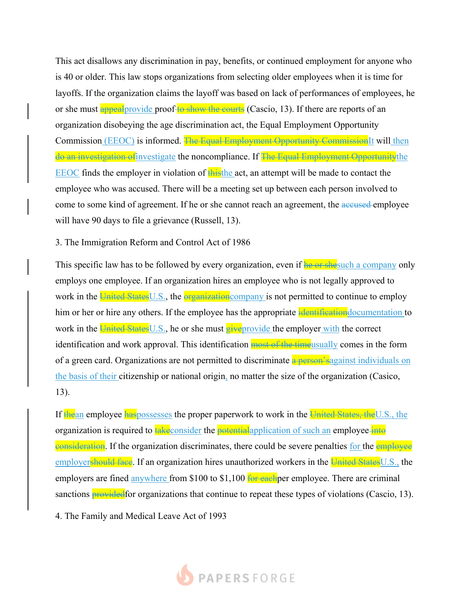This act disallows any discrimination in pay, benefits, or continued employment for anyone who is 40 or older. This law stops organizations from selecting older employees when it is time for layoffs. If the organization claims the layoff was based on lack of performances of employees, he or she must appeal provide proof to show the courts (Cascio, 13). If there are reports of an organization disobeying the age discrimination act, the Equal Employment Opportunity Commission (EEOC) is informed. The Equal Employment Opportunity Commission It will then do an investigation of investigate the noncompliance. If The Equal Employment Opportunity the EEOC finds the employer in violation of thisthe act, an attempt will be made to contact the employee who was accused. There will be a meeting set up between each person involved to come to some kind of agreement. If he or she cannot reach an agreement, the accused-employee will have 90 days to file a grievance (Russell, 13).

3. The Immigration Reform and Control Act of 1986

This specific law has to be followed by every organization, even if he or shesuch a company only employs one employee. If an organization hires an employee who is not legally approved to work in the United States U.S., the **organization** company is not permitted to continue to employ him or her or hire any others. If the employee has the appropriate identification documentation to work in the United States U.S., he or she must give provide the employer with the correct identification and work approval. This identification most of the time usually comes in the form of a green card. Organizations are not permitted to discriminate a person's against individuals on the basis of their citizenship or national origin, no matter the size of the organization (Casico, 13).

If the an employee haspossesses the proper paperwork to work in the United States, the U.S., the organization is required to take consider the potential application of such an employee into consideration. If the organization discriminates, there could be severe penalties for the employee employershould face. If an organization hires unauthorized workers in the United States U.S., the employers are fined anywhere from \$100 to \$1,100 for each per employee. There are criminal sanctions **provided** for organizations that continue to repeat these types of violations (Cascio, 13).

4. The Family and Medical Leave Act of 1993